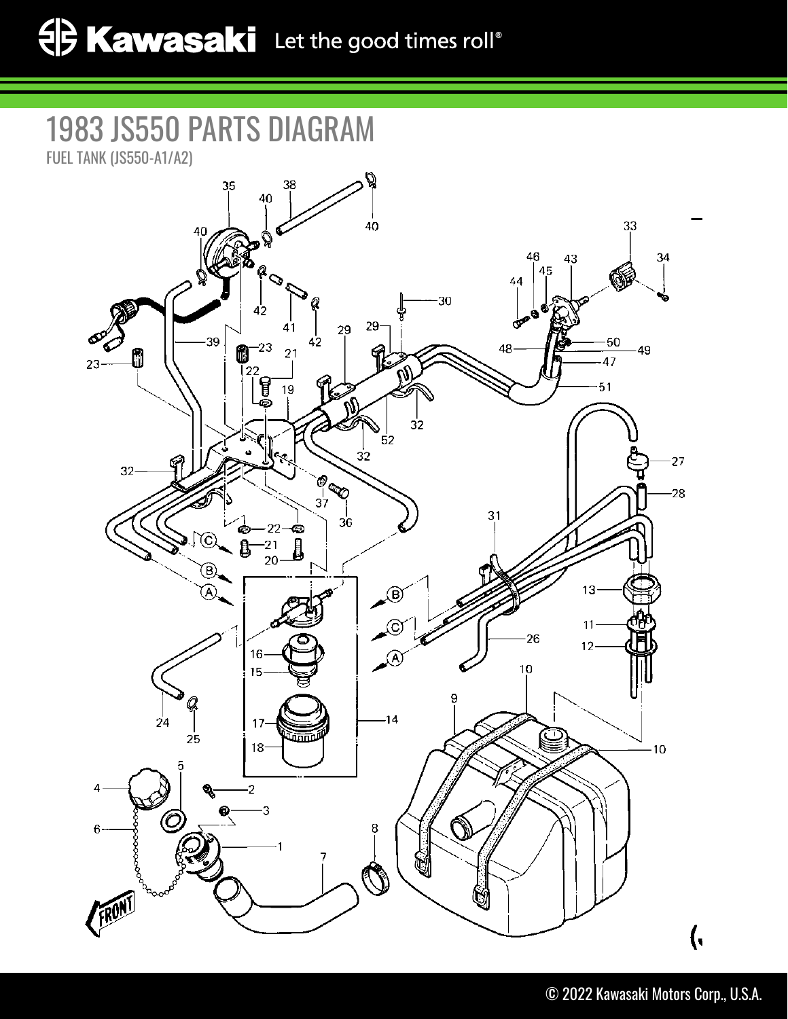## 1983 JS550 PARTS DIAGRAM

FUEL TANK (JS550-A1/A2)

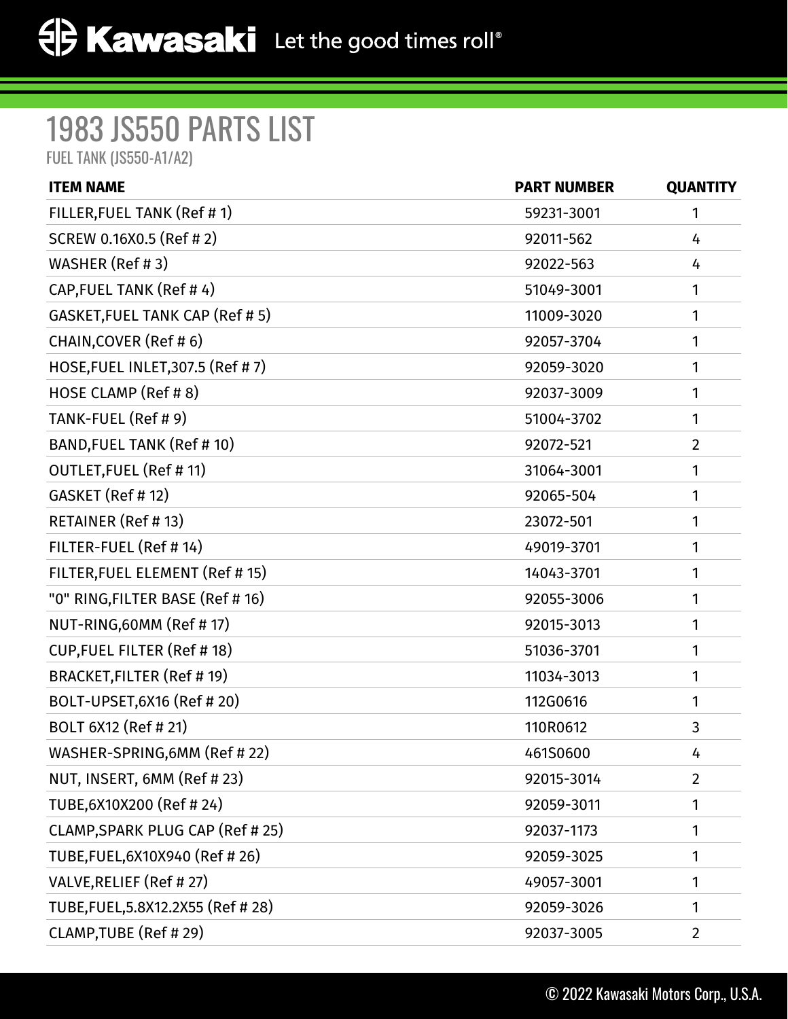## 1983 JS550 PARTS LIST

FUEL TANK (JS550-A1/A2)

| <b>ITEM NAME</b>                      | <b>PART NUMBER</b> | <b>QUANTITY</b> |
|---------------------------------------|--------------------|-----------------|
| FILLER, FUEL TANK (Ref # 1)           | 59231-3001         | 1               |
| SCREW 0.16X0.5 (Ref # 2)              | 92011-562          | 4               |
| WASHER (Ref #3)                       | 92022-563          | 4               |
| CAP, FUEL TANK (Ref #4)               | 51049-3001         | 1               |
| <b>GASKET, FUEL TANK CAP (Ref #5)</b> | 11009-3020         | 1               |
| CHAIN, COVER (Ref # 6)                | 92057-3704         | 1               |
| HOSE, FUEL INLET, 307.5 (Ref #7)      | 92059-3020         | 1               |
| HOSE CLAMP (Ref # 8)                  | 92037-3009         | 1               |
| TANK-FUEL (Ref # 9)                   | 51004-3702         | 1               |
| BAND, FUEL TANK (Ref # 10)            | 92072-521          | $\overline{2}$  |
| <b>OUTLET, FUEL (Ref #11)</b>         | 31064-3001         | 1               |
| GASKET (Ref # 12)                     | 92065-504          | 1               |
| RETAINER (Ref # 13)                   | 23072-501          | 1               |
| FILTER-FUEL (Ref # 14)                | 49019-3701         | 1               |
| FILTER, FUEL ELEMENT (Ref # 15)       | 14043-3701         | 1               |
| "0" RING, FILTER BASE (Ref # 16)      | 92055-3006         | 1               |
| NUT-RING,60MM (Ref # 17)              | 92015-3013         | 1               |
| <b>CUP, FUEL FILTER (Ref #18)</b>     | 51036-3701         | 1               |
| BRACKET, FILTER (Ref # 19)            | 11034-3013         | 1               |
| BOLT-UPSET, 6X16 (Ref # 20)           | 112G0616           | 1               |
| BOLT 6X12 (Ref # 21)                  | 110R0612           | 3               |
| WASHER-SPRING,6MM (Ref # 22)          | 461S0600           | 4               |
| NUT, INSERT, 6MM (Ref # 23)           | 92015-3014         | $\overline{2}$  |
| TUBE, 6X10X200 (Ref #24)              | 92059-3011         | 1               |
| CLAMP, SPARK PLUG CAP (Ref # 25)      | 92037-1173         | 1               |
| TUBE, FUEL, 6X10X940 (Ref # 26)       | 92059-3025         | 1               |
| VALVE, RELIEF (Ref #27)               | 49057-3001         | 1               |
| TUBE, FUEL, 5.8X12.2X55 (Ref #28)     | 92059-3026         | 1               |
| CLAMP, TUBE (Ref # 29)                | 92037-3005         | 2               |